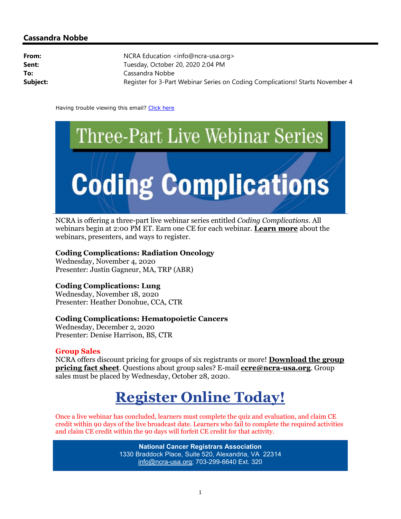## Cassandra Nobbe

| NCRA Education <info@ncra-usa.org></info@ncra-usa.org>                        |
|-------------------------------------------------------------------------------|
| Tuesday, October 20, 2020 2:04 PM                                             |
| Cassandra Nobbe                                                               |
| Register for 3-Part Webinar Series on Coding Complications! Starts November 4 |
|                                                                               |

Having trouble viewing this email? Click here



NCRA is offering a three-part live webinar series entitled Coding Complications. All webinars begin at 2:00 PM ET. Earn one CE for each webinar. **Learn more** about the webinars, presenters, and ways to register.

#### Coding Complications: Radiation Oncology

Wednesday, November 4, 2020 Presenter: Justin Gagneur, MA, TRP (ABR)

### Coding Complications: Lung

Wednesday, November 18, 2020 Presenter: Heather Donohue, CCA, CTR

### Coding Complications: Hematopoietic Cancers

Wednesday, December 2, 2020 Presenter: Denise Harrison, BS, CTR

#### Group Sales

NCRA offers discount pricing for groups of six registrants or more! Download the group pricing fact sheet. Questions about group sales? E-mail ccre@ncra-usa.org. Group sales must be placed by Wednesday, October 28, 2020.

# Register Online Today!

Once a live webinar has concluded, learners must complete the quiz and evaluation, and claim CE credit within 90 days of the live broadcast date. Learners who fail to complete the required activities and claim CE credit within the 90 days will forfeit CE credit for that activity.

> National Cancer Registrars Association 1330 Braddock Place, Suite 520, Alexandria, VA 22314 info@ncra-usa.org; 703-299-6640 Ext. 320